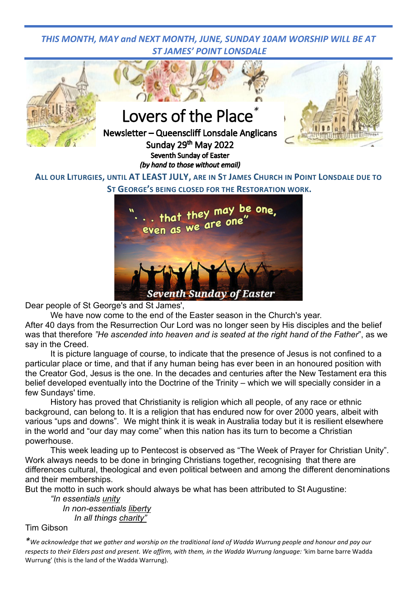## *THIS MONTH, MAY and NEXT MONTH, JUNE, SUNDAY 10AM WORSHIP WILL BE AT ST JAMES' POINT LONSDALE*



Seventh Sunday of Easter Dear people of St George's and St James',

We have now come to the end of the Easter season in the Church's year.

After 40 days from the Resurrection Our Lord was no longer seen by His disciples and the belief was that therefore *"He ascended into heaven and is seated at the right hand of the Father*", as we say in the Creed.

It is picture language of course, to indicate that the presence of Jesus is not confined to a particular place or time, and that if any human being has ever been in an honoured position with the Creator God, Jesus is the one. In the decades and centuries after the New Testament era this belief developed eventually into the Doctrine of the Trinity – which we will specially consider in a few Sundays' time.

History has proved that Christianity is religion which all people, of any race or ethnic background, can belong to. It is a religion that has endured now for over 2000 years, albeit with various "ups and downs". We might think it is weak in Australia today but it is resilient elsewhere in the world and "our day may come" when this nation has its turn to become a Christian powerhouse.

This week leading up to Pentecost is observed as "The Week of Prayer for Christian Unity". Work always needs to be done in bringing Christians together, recognising that there are differences cultural, theological and even political between and among the different denominations and their memberships.

But the motto in such work should always be what has been attributed to St Augustine:

*"In essentials unity In non-essentials liberty In all things charity"*

Tim Gibson

*\*We acknowledge that we gather and worship on the traditional land of Wadda Wurrung people and honour and pay our*  respects to their Elders past and present. We affirm, with them, in the Wadda Wurrung language: 'kim barne barre Wadda Wurrung' (this is the land of the Wadda Warrung).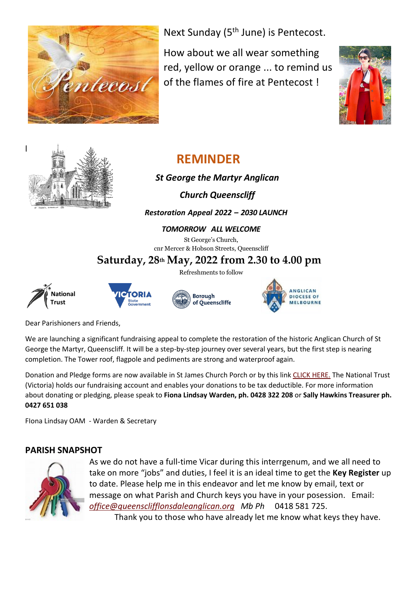

Next Sunday (5<sup>th</sup> June) is Pentecost.

How about we all wear something red, yellow or orange ... to remind us of the flames of fire at Pentecost !





# **REMINDER**

## *St George the Martyr Anglican*

 *Church Queenscliff*

## *Restoration Appeal 2022 – 2030 LAUNCH*

### *TOMORROW ALL WELCOME*

St George's Church, cnr Mercer & Hobson Streets, Queenscliff

## **Saturday, 28th May, 2022 from 2.30 to 4.00 pm**

Refreshments to follow









Dear Parishioners and Friends,

We are launching a significant fundraising appeal to complete the restoration of the historic Anglican Church of St George the Martyr, Queenscliff. It will be a step-by-step journey over several years, but the first step is nearing completion. The Tower roof, flagpole and pediments are strong and waterproof again.

Donation and Pledge forms are now available in St James Church Porch or by this link [CLICK HERE.](https://www.queensclifflonsdaleanglican.org/wp/wp-content/uploads/2022/05/Combined-donation-forms-for-QR-code.pdf) The National Trust (Victoria) holds our fundraising account and enables your donations to be tax deductible. For more information about donating or pledging, please speak to **Fiona Lindsay Warden, ph. 0428 322 208** or **Sally Hawkins Treasurer ph. 0427 651 038**

FIona Lindsay OAM - Warden & Secretary

## **PARISH SNAPSHOT**



As we do not have a full-time Vicar during this interrgenum, and we all need to take on more "jobs" and duties, I feel it is an ideal time to get the **Key Register** up to date. Please help me in this endeavor and let me know by email, text or message on what Parish and Church keys you have in your posession. Email: *[office@queensclifflonsdaleanglican.org](mailto:office@queensclifflonsdaleanglican.org) Mb Ph* 0418 581 725.

Thank you to those who have already let me know what keys they have.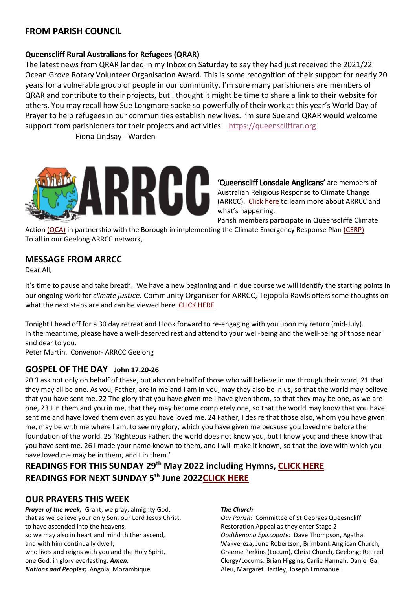## **FROM PARISH COUNCIL**

#### **Queenscliff Rural Australians for Refugees (QRAR)**

The latest news from QRAR landed in my Inbox on Saturday to say they had just received the 2021/22 Ocean Grove Rotary Volunteer Organisation Award. This is some recognition of their support for nearly 20 years for a vulnerable group of people in our community. I'm sure many parishioners are members of QRAR and contribute to their projects, but I thought it might be time to share a link to their website for others. You may recall how Sue Longmore spoke so powerfully of their work at this year's World Day of Prayer to help refugees in our communities establish new lives. I'm sure Sue and QRAR would welcome support from parishioners for their projects and activities. [https://queenscliffrar.org](https://queenscliffrar.org/)

Fiona Lindsay - Warden



'Queenscliff Lonsdale Anglicans' are members of Australian Religious Response to Climate Change (ARRCC). [Click here](https://www.arrcc.org.au/) to learn more about ARRCC and what's happening.

Parish members participate in Queenscliffe Climate

Action [\(QCA\)](https://www.queenscliffeclimateaction.org/) in partnership with the Borough in implementing the Climate Emergency Response Pla[n \(CERP\)](https://www.queenscliffe.vic.gov.au/Your-Council/News-and-projects/Completed-projects/Climate-Emergency-Response-Plan) To all in our Geelong ARRCC network,

### **MESSAGE FROM ARRCC**

Dear All,

It's time to pause and take breath. We have a new beginning and in due course we will identify the starting points in our ongoing work for *climate justice.* Community Organiser for ARRCC, Tejopala Rawls offers some thoughts on what the next steps are and can be viewed here [CLICK HERE](https://www.queensclifflonsdaleanglican.org/wp/wp-content/uploads/2022/05/ARRCC.pdf)

Tonight I head off for a 30 day retreat and I look forward to re-engaging with you upon my return (mid-July). In the meantime, please have a well-deserved rest and attend to your well-being and the well-being of those near and dear to you.

Peter Martin. Convenor- ARRCC Geelong

#### **GOSPEL OF THE DAY John 17.20-26**

20 'I ask not only on behalf of these, but also on behalf of those who will believe in me through their word, 21 that they may all be one. As you, Father, are in me and I am in you, may they also be in us, so that the world may believe that you have sent me. 22 The glory that you have given me I have given them, so that they may be one, as we are one, 23 I in them and you in me, that they may become completely one, so that the world may know that you have sent me and have loved them even as you have loved me. 24 Father, I desire that those also, whom you have given me, may be with me where I am, to see my glory, which you have given me because you loved me before the foundation of the world. 25 'Righteous Father, the world does not know you, but I know you; and these know that you have sent me. 26 I made your name known to them, and I will make it known, so that the love with which you have loved me may be in them, and I in them.'

## **READINGS FOR THIS SUNDAY 29th May 2022 including Hymns, [CLICK HERE](https://www.queensclifflonsdaleanglican.org/wp/wp-content/uploads/2022/05/2022-Easter-7-29th-May-2022-WEB-VERSION.pdf) READINGS FOR NEXT SUNDAY 5th June 202[2CLICK HERE](https://www.queensclifflonsdaleanglican.org/wp/wp-content/uploads/2022/05/Sunday-4th-June-2022.pdf)**

### **OUR PRAYERS THIS WEEK**

*Prayer of the week;* Grant, we pray, almighty God, that as we believe your only Son, our Lord Jesus Christ, to have ascended into the heavens, so we may also in heart and mind thither ascend, and with him continually dwell; who lives and reigns with you and the Holy Spirit, one God, in glory everlasting. *Amen. Nations and Peoples;* Angola, Mozambique

#### *The Church*

*Our Parish:* Committee of St Georges Queesncliff Restoration Appeal as they enter Stage 2 *Oodthenong Episcopate:* Dave Thompson, Agatha Wakyereza, June Robertson, Brimbank Anglican Church; Graeme Perkins (Locum), Christ Church, Geelong; Retired Clergy/Locums: Brian Higgins, Carlie Hannah, Daniel Gai Aleu, Margaret Hartley, Joseph Emmanuel